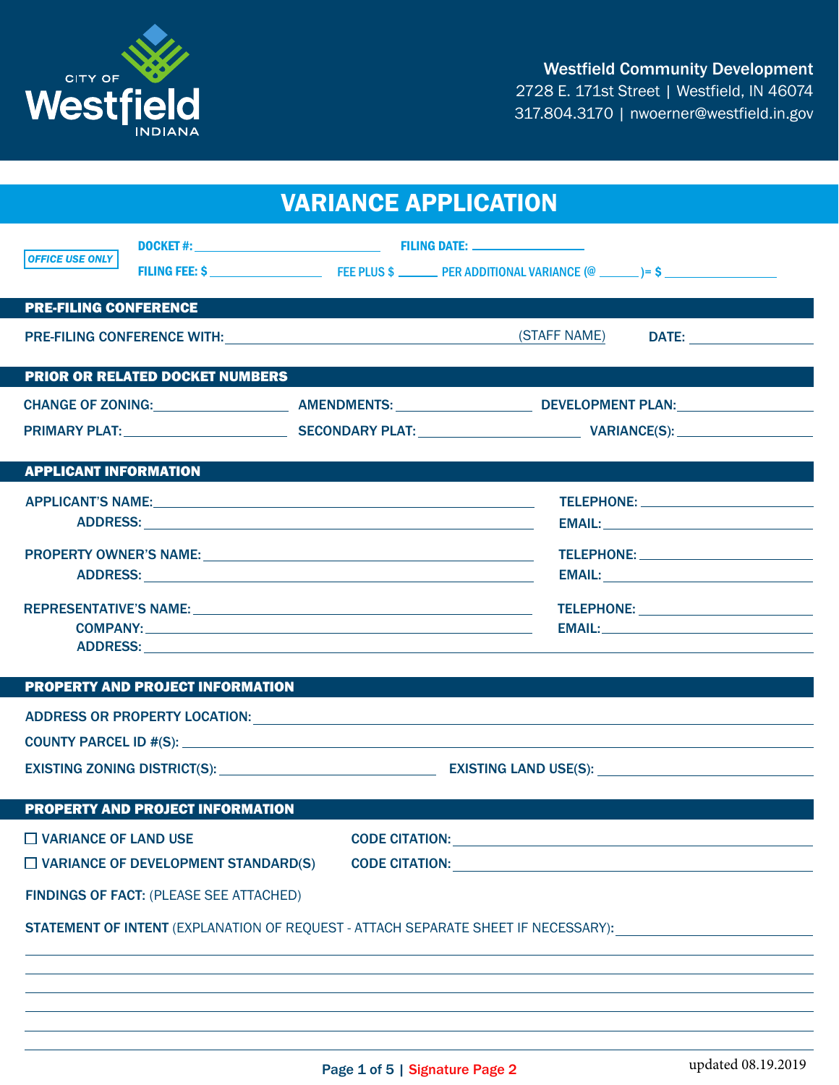

| <b>VARIANCE APPLICATION</b>                                                               |                                                                                |                                                                                                                |
|-------------------------------------------------------------------------------------------|--------------------------------------------------------------------------------|----------------------------------------------------------------------------------------------------------------|
| <b>OFFICE USE ONLY</b>                                                                    |                                                                                |                                                                                                                |
| <b>PRE-FILING CONFERENCE</b>                                                              |                                                                                |                                                                                                                |
|                                                                                           | PRE-FILING CONFERENCE WITH: \\omega_{\math}}\} \\omega_{\math}}\} (STAFF NAME) |                                                                                                                |
| <b>PRIOR OR RELATED DOCKET NUMBERS</b>                                                    |                                                                                |                                                                                                                |
|                                                                                           |                                                                                | CHANGE OF ZONING:_____________________________AMENDMENTS: ____________________DEVELOPMENT PLAN:_______________ |
|                                                                                           |                                                                                |                                                                                                                |
|                                                                                           |                                                                                |                                                                                                                |
| <b>APPLICANT INFORMATION</b>                                                              |                                                                                |                                                                                                                |
|                                                                                           |                                                                                |                                                                                                                |
|                                                                                           |                                                                                |                                                                                                                |
|                                                                                           |                                                                                |                                                                                                                |
|                                                                                           |                                                                                |                                                                                                                |
|                                                                                           |                                                                                |                                                                                                                |
|                                                                                           |                                                                                |                                                                                                                |
|                                                                                           |                                                                                |                                                                                                                |
| <b>PROPERTY AND PROJECT INFORMATION</b>                                                   |                                                                                |                                                                                                                |
|                                                                                           |                                                                                |                                                                                                                |
|                                                                                           |                                                                                |                                                                                                                |
|                                                                                           |                                                                                |                                                                                                                |
|                                                                                           |                                                                                |                                                                                                                |
| <b>PROPERTY AND PROJECT INFORMATION</b>                                                   |                                                                                |                                                                                                                |
| $\Box$ VARIANCE OF LAND USE                                                               |                                                                                |                                                                                                                |
| $\Box$ VARIANCE OF DEVELOPMENT STANDARD(S)                                                |                                                                                |                                                                                                                |
| <b>FINDINGS OF FACT: (PLEASE SEE ATTACHED)</b>                                            |                                                                                |                                                                                                                |
| <b>STATEMENT OF INTENT</b> (EXPLANATION OF REQUEST - ATTACH SEPARATE SHEET IF NECESSARY): |                                                                                |                                                                                                                |
|                                                                                           |                                                                                |                                                                                                                |
|                                                                                           |                                                                                |                                                                                                                |
|                                                                                           |                                                                                |                                                                                                                |
|                                                                                           |                                                                                |                                                                                                                |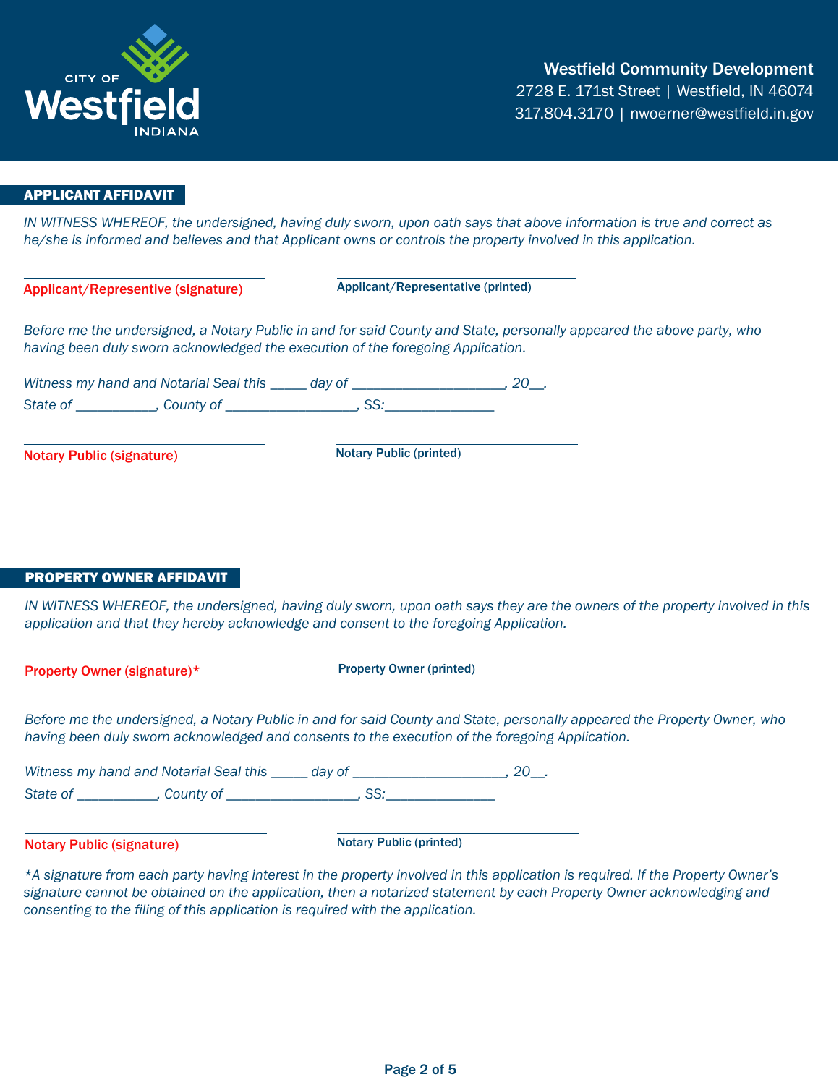

# APPLICANT AFFIDAVIT

*IN WITNESS WHEREOF, the undersigned, having duly sworn, upon oath says that above information is true and correct as he/she is informed and believes and that Applicant owns or controls the property involved in this application.*

Applicant/Representive (signature) Applicant/Representative (printed)

*Before me the undersigned, a Notary Public in and for said County and State, personally appeared the above party, who having been duly sworn acknowledged the execution of the foregoing Application.*

*Witness my hand and Notarial Seal this \_\_\_\_\_ day of \_\_\_\_\_\_\_\_\_\_\_\_\_\_\_\_\_\_\_\_\_, 20\_\_. State of \_\_\_\_\_\_\_\_\_\_\_, County of \_\_\_\_\_\_\_\_\_\_\_\_\_\_\_\_\_\_, SS:\_\_\_\_\_\_\_\_\_\_\_\_\_\_\_*

**Notary Public (signature)** Notary Public (printed)

#### PROPERTY OWNER AFFIDAVIT

*IN WITNESS WHEREOF, the undersigned, having duly sworn, upon oath says they are the owners of the property involved in this application and that they hereby acknowledge and consent to the foregoing Application.*

Property Owner (signature)\* Property Owner (printed)

*Before me the undersigned, a Notary Public in and for said County and State, personally appeared the Property Owner, who having been duly sworn acknowledged and consents to the execution of the foregoing Application.*

*Witness my hand and Notarial Seal this \_\_\_\_\_ day of \_\_\_\_\_\_\_\_\_\_\_\_\_\_\_\_\_\_\_\_\_, 20\_\_.* State of The county of The State of The SS:

Notary Public (signature) Notary Public (printed)

*\*A signature from each party having interest in the property involved in this application is required. If the Property Owner's signature cannot be obtained on the application, then a notarized statement by each Property Owner acknowledging and consenting to the filing of this application is required with the application.*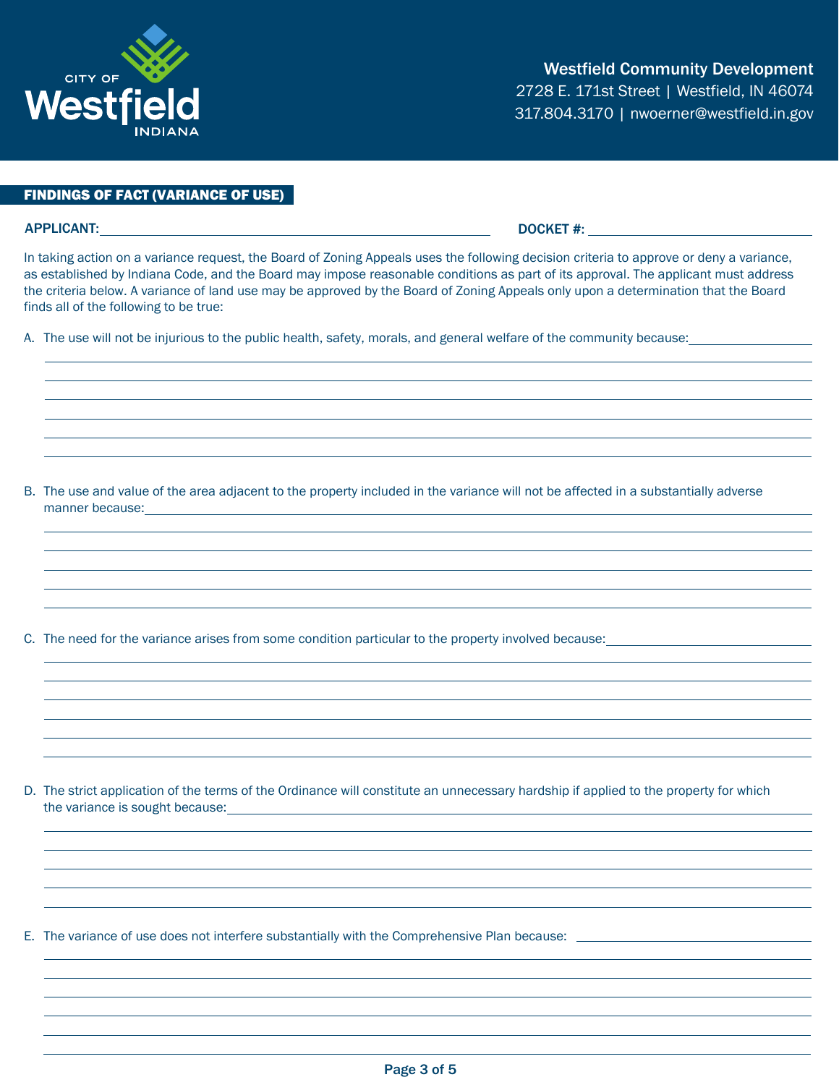# FINDINGS OF FACT (VARIANCE OF USE)

## APPLICANT: DOCKET #:

In taking action on a variance request, the Board of Zoning Appeals uses the following decision criteria to approve or deny a variance, as established by Indiana Code, and the Board may impose reasonable conditions as part of its approval. The applicant must address the criteria below. A variance of land use may be approved by the Board of Zoning Appeals only upon a determination that the Board finds all of the following to be true:

A. The use will not be injurious to the public health, safety, morals, and general welfare of the community because:

B. The use and value of the area adjacent to the property included in the variance will not be affected in a substantially adverse manner because:

C. The need for the variance arises from some condition particular to the property involved because:

D. The strict application of the terms of the Ordinance will constitute an unnecessary hardship if applied to the property for which the variance is sought because:

E. The variance of use does not interfere substantially with the Comprehensive Plan because:



Westfield Community Development 2728 E. 171st Street | Westfield, IN 46074 317.804.3170 | nwoerner@westfield.in.gov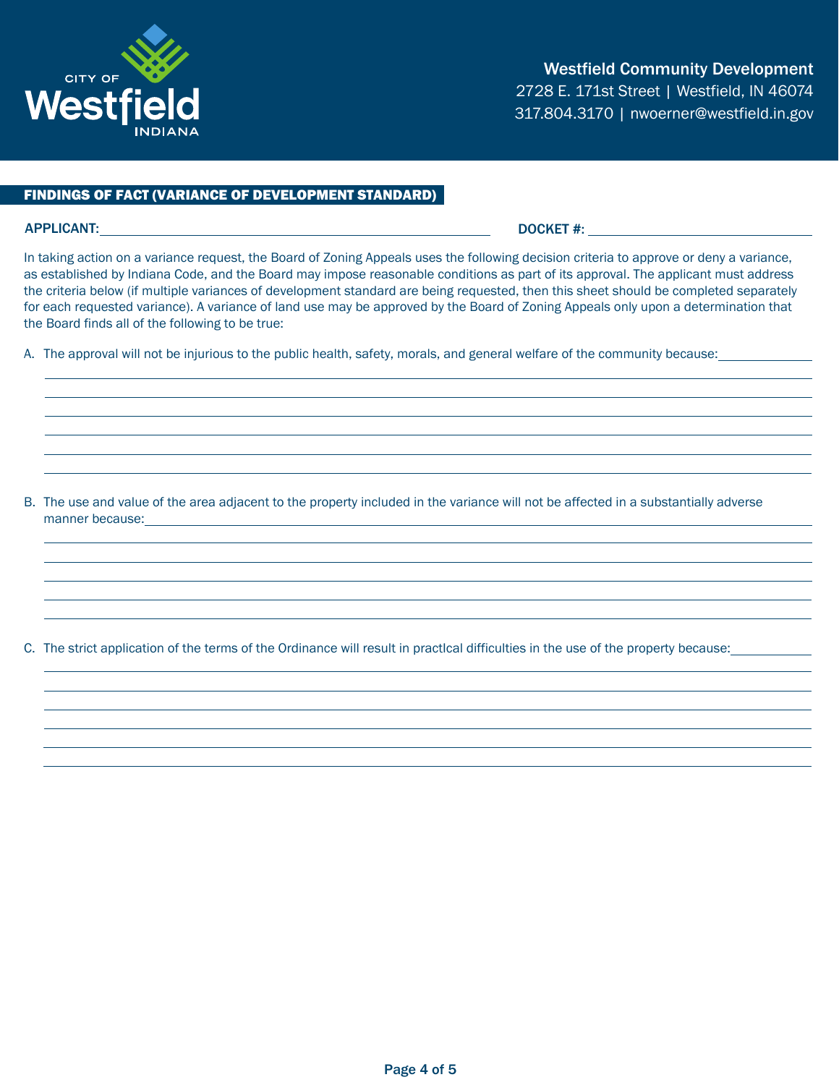

### FINDINGS OF FACT (VARIANCE OF DEVELOPMENT STANDARD)

# APPLICANT: DOCKET #:

In taking action on a variance request, the Board of Zoning Appeals uses the following decision criteria to approve or deny a variance, as established by Indiana Code, and the Board may impose reasonable conditions as part of its approval. The applicant must address the criteria below (if multiple variances of development standard are being requested, then this sheet should be completed separately for each requested variance). A variance of land use may be approved by the Board of Zoning Appeals only upon a determination that the Board finds all of the following to be true:

A. The approval will not be injurious to the public health, safety, morals, and general welfare of the community because:

B. The use and value of the area adjacent to the property included in the variance will not be affected in a substantially adverse manner because:

C. The strict application of the terms of the Ordinance will result in practIcal difficulties in the use of the property because: